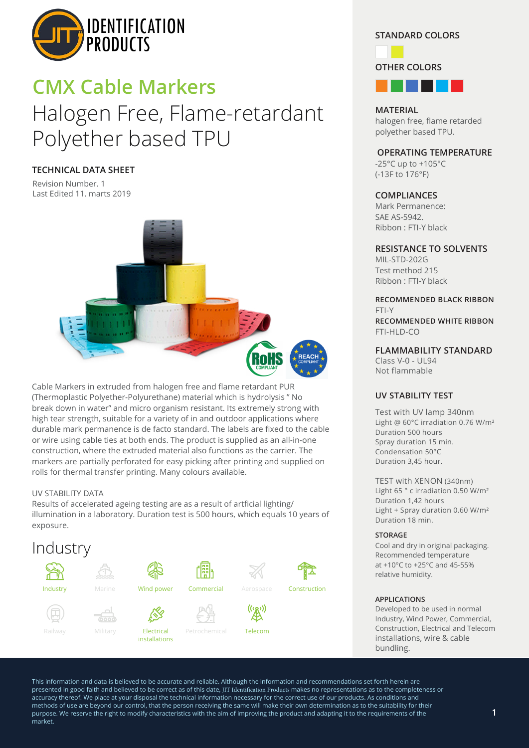

# Halogen Free, Flame-retardant Polyether based TPU **CMX Cable Markers**

## **TECHNICAL DATA SHEET**

Revision Number. 1 Last Edited 11. marts 2019



Cable Markers in extruded from halogen free and flame retardant PUR (Thermoplastic Polyether-Polyurethane) material which is hydrolysis " No break down in water" and micro organism resistant. Its extremely strong with high tear strength, suitable for a variety of in and outdoor applications where durable mark permanence is de facto standard. The labels are fixed to the cable or wire using cable ties at both ends. The product is supplied as an all-in-one construction, where the extruded material also functions as the carrier. The markers are partially perforated for easy picking after printing and supplied on rolls for thermal transfer printing. Many colours available.

## UV STABILITY DATA

Results of accelerated ageing testing are as a result of artficial lighting/ illumination in a laboratory. Duration test is 500 hours, which equals 10 years of exposure.



## **STANDARD COLORS**



**MATERIAL** halogen free, flame retarded polyether based TPU.

## **OPERATING TEMPERATURE**

-25°C up to +105°C (-13F to 176°F)

## **COMPLIANCES**

Mark Permanence: SAE AS-5942. Ribbon : FTI-Y black

## **RESISTANCE TO SOLVENTS**

MIL-STD-202G Test method 215 Ribbon : FTI-Y black

#### **RECOMMENDED BLACK RIBBON** FTI-Y **RECOMMENDED WHITE RIBBON**

FTI-HLD-CO

## **FLAMMABILITY STANDARD**

Class V-0 - UL94 Not flammable

## **UV STABILITY TEST**

Test with UV lamp 340nm Light @ 60°C irradiation 0.76 W/m² Duration 500 hours Spray duration 15 min. Condensation 50°C Duration 3,45 hour.

TEST with XENON (340nm) Light 65 ° c irradiation 0.50 W/m² Duration 1,42 hours Light + Spray duration 0.60 W/m² Duration 18 min.

#### **STORAGE**

Cool and dry in original packaging. Recommended temperature at +10°C to +25°C and 45-55% relative humidity.

#### **APPLICATIONS**

Developed to be used in normal Industry, Wind Power, Commercial, Construction, Electrical and Telecom installations, wire & cable bundling.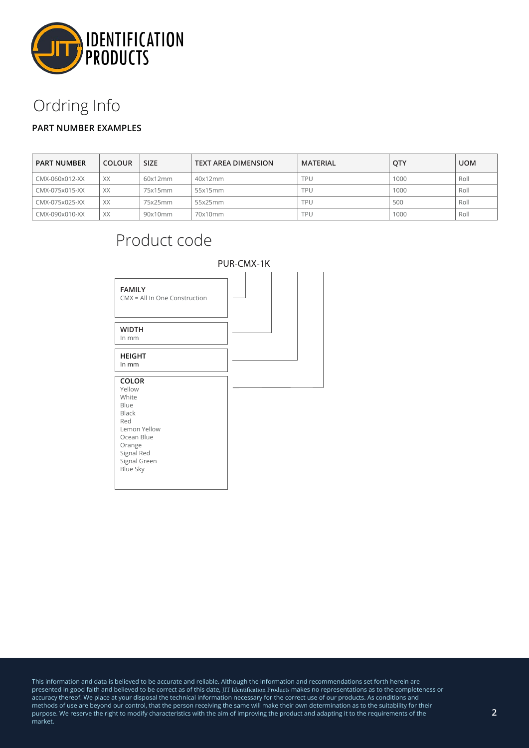

# Ordring Info

# **PART NUMBER EXAMPLES**

| <b>PART NUMBER</b> | <b>COLOUR</b> | <b>SIZE</b> | <b>TEXT AREA DIMENSION</b> | MATERIAL | <b>OTY</b> | <b>UOM</b> |
|--------------------|---------------|-------------|----------------------------|----------|------------|------------|
| CMX-060x012-XX     | XX            | 60x12mm     | 40x12mm                    | TPU      | 1000       | Roll       |
| CMX-075x015-XX     | XX            | 75x15mm     | 55x15mm                    | TPU      | 1000       | Roll       |
| CMX-075x025-XX     | XX            | 75x25mm     | 55x25mm                    | TPU      | 500        | Roll       |
| CMX-090x010-XX     | XX            | 90x10mm     | 70x10mm                    | TPU      | 1000       | Roll       |

# **FAMILY** CMX = All In One Construction **WIDTH** In mm **HEIGHT** In mm **COLOR** Yellow White Blue Black Red Lemon Yellow Ocean Blue Orange Signal Red Signal Green Blue Sky Product code PUR-CMX-1K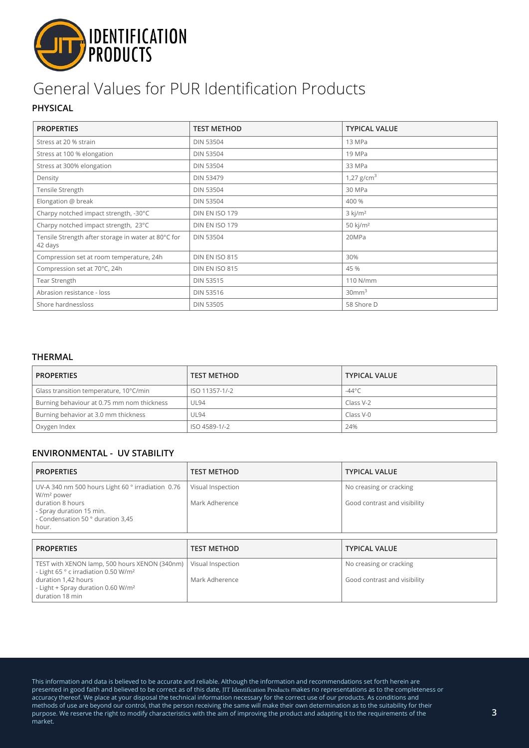

# General Values for PUR Identification Products

# **PHYSICAL**

| <b>PROPERTIES</b>                                              | <b>TEST METHOD</b>    | <b>TYPICAL VALUE</b>  |  |
|----------------------------------------------------------------|-----------------------|-----------------------|--|
| Stress at 20 % strain                                          | <b>DIN 53504</b>      | 13 MPa                |  |
| Stress at 100 % elongation                                     | <b>DIN 53504</b>      | 19 MPa                |  |
| Stress at 300% elongation                                      | <b>DIN 53504</b>      | 33 MPa                |  |
| Density                                                        | <b>DIN 53479</b>      | 1,27 $g/cm3$          |  |
| Tensile Strength                                               | <b>DIN 53504</b>      | 30 MPa                |  |
| Elongation @ break                                             | <b>DIN 53504</b>      | 400 %                 |  |
| Charpy notched impact strength, -30°C                          | DIN EN ISO 179        | $3$ kj/m <sup>2</sup> |  |
| Charpy notched impact strength, 23°C                           | DIN EN ISO 179        | 50 kj/m <sup>2</sup>  |  |
| Tensile Strength after storage in water at 80°C for<br>42 days | <b>DIN 53504</b>      | 20MPa                 |  |
| Compression set at room temperature, 24h                       | <b>DIN EN ISO 815</b> | 30%                   |  |
| Compression set at 70°C, 24h                                   | DIN EN ISO 815        | 45 %                  |  |
| Tear Strength                                                  | <b>DIN 53515</b>      | 110 N/mm              |  |
| Abrasion resistance - loss                                     | <b>DIN 53516</b>      | 30mm <sup>3</sup>     |  |
| Shore hardnessloss                                             | <b>DIN 53505</b>      | 58 Shore D            |  |

## **THERMAL**

| <b>PROPERTIES</b>                          | <b>TEST METHOD</b> | <b>TYPICAL VALUE</b> |
|--------------------------------------------|--------------------|----------------------|
| Glass transition temperature, 10°C/min     | ISO 11357-1/-2     | -44°C                |
| Burning behaviour at 0.75 mm nom thickness | <b>UL94</b>        | Class V-2            |
| Burning behavior at 3.0 mm thickness       | <b>UL94</b>        | Class V-0            |
| Oxygen Index                               | ISO 4589-1/-2      | 24%                  |

## **ENVIRONMENTAL - UV STABILITY**

| <b>PROPERTIES</b>                                                                                                                                                                             | <b>TEST METHOD</b>                  | <b>TYPICAL VALUE</b>                                    |  |
|-----------------------------------------------------------------------------------------------------------------------------------------------------------------------------------------------|-------------------------------------|---------------------------------------------------------|--|
| UV-A 340 nm 500 hours Light 60 ° irradiation 0.76<br>W/m <sup>2</sup> power<br>duration 8 hours<br>- Spray duration 15 min.<br>- Condensation 50 ° duration 3,45<br>hour.                     | Visual Inspection<br>Mark Adherence | No creasing or cracking<br>Good contrast and visibility |  |
| <b>PROPERTIES</b>                                                                                                                                                                             | <b>TEST METHOD</b>                  | <b>TYPICAL VALUE</b>                                    |  |
| TEST with XENON lamp, 500 hours XENON (340nm)<br>- Light 65 ° c irradiation 0.50 W/m <sup>2</sup><br>duration 1,42 hours<br>- Light + Spray duration 0.60 W/m <sup>2</sup><br>duration 18 min | Visual Inspection<br>Mark Adherence | No creasing or cracking<br>Good contrast and visibility |  |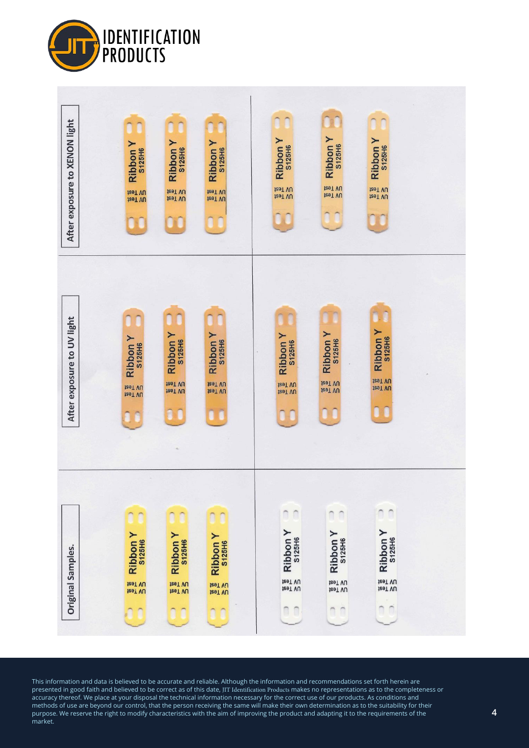

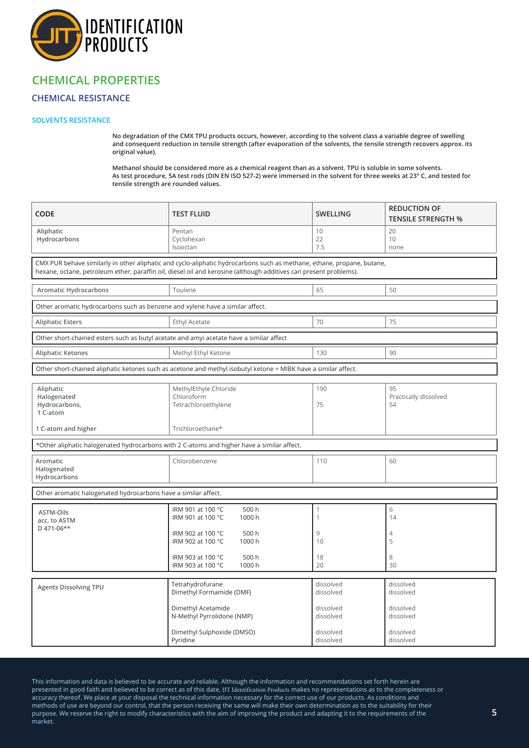

# **CHEMICAL PROPERTIES**

## **CHEMICAL RESISTANCE**

### **SOLVENTS RESISTANCE**

**No degradation of the CMX TPU products occurs, however, according to the solvent class a variable degree of swelling and consequent reduction in tensile strength (after evaporation of the solvents, the tensile strength recovers approx. its original value).**

**Methanol should be considered more as a chemical reagent than as a solvent. TPU is soluble in some solvents. As test procedure, 5A test rods (DIN EN ISO 527-2) were immersed in the solvent for three weeks at 23° C, and tested for tensile strength are rounded values.**

| CODE                                                                                                                                                                                                                                        | <b>TEST FLUID</b>                                                                                                                                                                | <b>SWELLING</b>                                                            | <b>REDUCTION OF</b><br><b>TENSILE STRENGTH %</b>                           |  |  |
|---------------------------------------------------------------------------------------------------------------------------------------------------------------------------------------------------------------------------------------------|----------------------------------------------------------------------------------------------------------------------------------------------------------------------------------|----------------------------------------------------------------------------|----------------------------------------------------------------------------|--|--|
| Aliphatic<br>Hydrocarbons                                                                                                                                                                                                                   | Pentan<br>Cyclohexan<br>Isooctan                                                                                                                                                 | 10<br>22<br>7.5                                                            | 20<br>10<br>none                                                           |  |  |
| CMX PUR behave similarly in other aliphatic and cyclo-aliphatic hydrocarbons such as methane, ethane, propane, butane,<br>hexane, octane, petroleum ether, paraffin oil, diesel oil and kerosine (although additives can present problems). |                                                                                                                                                                                  |                                                                            |                                                                            |  |  |
| Aromatic Hydrocarbons                                                                                                                                                                                                                       | Toulene                                                                                                                                                                          | 65                                                                         | 50                                                                         |  |  |
|                                                                                                                                                                                                                                             | Other aromatic hydrocarbons such as benzene and xylene have a similar affect.                                                                                                    |                                                                            |                                                                            |  |  |
| <b>Aliphatic Esters</b>                                                                                                                                                                                                                     | Ethyl Acetate                                                                                                                                                                    | 70                                                                         | 75                                                                         |  |  |
| Other short-chained esters such as butyl acetate and amyi acetate have a similar affect                                                                                                                                                     |                                                                                                                                                                                  |                                                                            |                                                                            |  |  |
| Aliphatic Ketones                                                                                                                                                                                                                           | Methyl Ethyl Ketone                                                                                                                                                              | 130                                                                        | 90                                                                         |  |  |
| Other short-chained aliphatic ketones such as acetone and methyl isobutyl ketone = MIBK have a similar affect.                                                                                                                              |                                                                                                                                                                                  |                                                                            |                                                                            |  |  |
| Aliphatic<br>Halogenated<br>Hydrocarbons,<br>1 C-atom                                                                                                                                                                                       | MethylEthyle Chloride<br>Chloroform<br>Tetrachloroethylene                                                                                                                       | 190<br>75                                                                  | 95<br>Practically dissolved<br>54                                          |  |  |
| 1 C-atom and higher                                                                                                                                                                                                                         | Trichloroethane*                                                                                                                                                                 |                                                                            |                                                                            |  |  |
|                                                                                                                                                                                                                                             | *Other aliphatic halogenated hydrocarbons with 2 C-atoms and higher have a similar affect.                                                                                       |                                                                            |                                                                            |  |  |
| Aromatic<br>Halogenated<br>Hydrocarbons                                                                                                                                                                                                     | Chlorobenzene                                                                                                                                                                    | 110                                                                        | 60                                                                         |  |  |
| Other aromatic halogenated hydrocarbons have a similar affect.                                                                                                                                                                              |                                                                                                                                                                                  |                                                                            |                                                                            |  |  |
| <b>ASTM-Oils</b><br>acc. to ASTM<br>D 471-06**                                                                                                                                                                                              | IRM 901 at 100 °C<br>500 h<br>IRM 901 at 100 °C<br>1000h<br>IRM 902 at 100 °C<br>500 h<br>IRM 902 at 100 °C<br>1000h<br>IRM 903 at 100 °C<br>500 h<br>IRM 903 at 100 °C<br>1000h | $\mathbf{1}$<br>1<br>9<br>10<br>18<br>20                                   | 6<br>14<br>4<br>5<br>8<br>30                                               |  |  |
| <b>Agents Dissolving TPU</b>                                                                                                                                                                                                                | Tetrahydrofurane<br>Dimethyl Formamide (DMF)<br>Dimethyl Acetamide<br>N-Methyl Pyrrolidone (NMP)<br>Dimethyl Sulphoxide (DMSO)<br>Pyridine                                       | dissolved<br>dissolved<br>dissolved<br>dissolved<br>dissolved<br>dissolved | dissolved<br>dissolved<br>dissolved<br>dissolved<br>dissolved<br>dissolved |  |  |